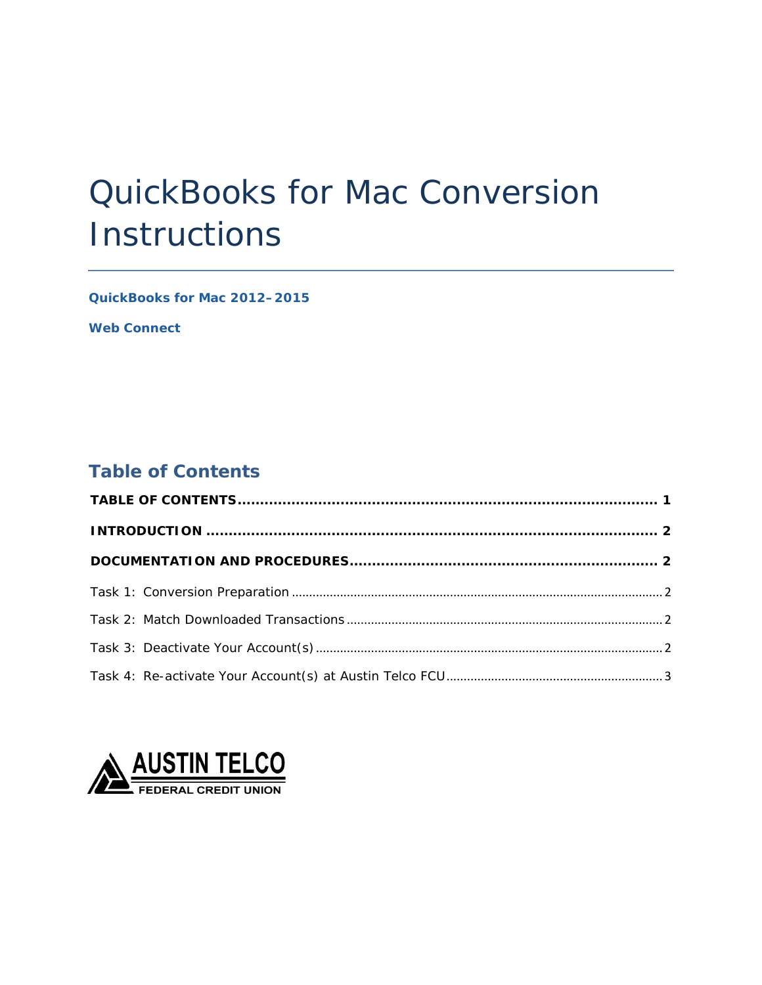# QuickBooks for Mac Conversion **Instructions**

*QuickBooks for Mac 2012–2015* 

 *Web Connect* 

## <span id="page-0-0"></span>**Table of Contents**

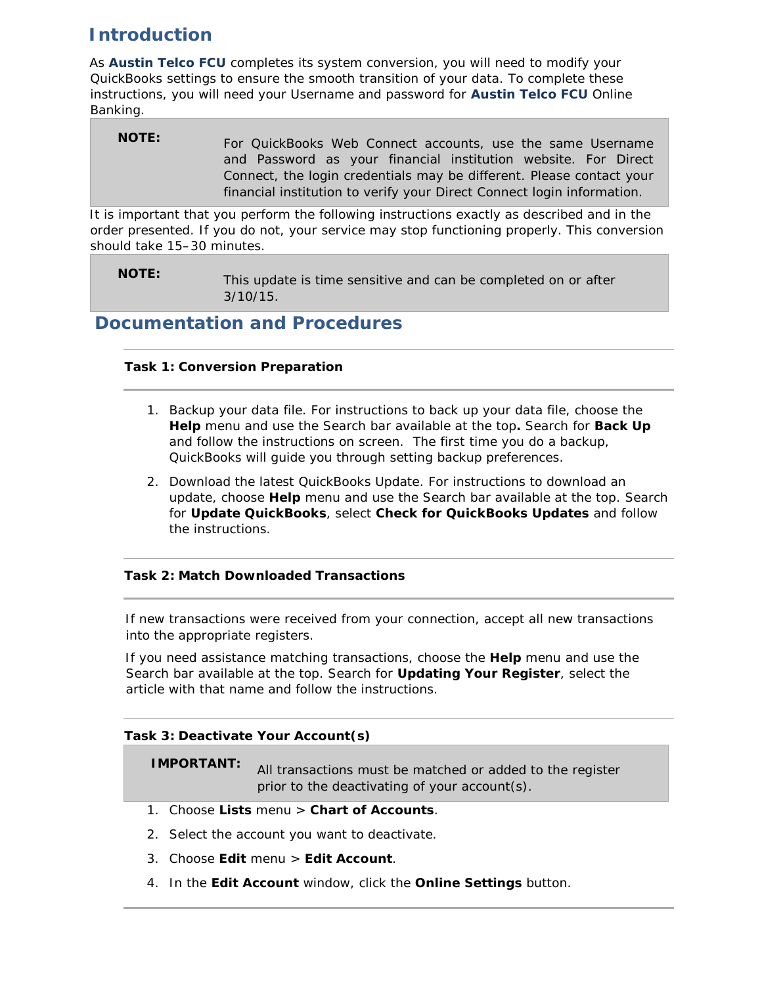# <span id="page-1-0"></span>**Introduction**

 As *Austin Telco FCU* completes its system conversion, you will need to modify your QuickBooks settings to ensure the smooth transition of your data. To complete these instructions, you will need your Username and password for *Austin Telco FCU* Online Banking.

#### **NOTE:** For QuickBooks Web Connect accounts, use the same Username and Password as your financial institution website. For Direct Connect, the login credentials may be different. Please contact your financial institution to verify your Direct Connect login information.

 It is important that you perform the following instructions exactly as described and in the order presented. If you do not, your service may stop functioning properly. This conversion should take 15–30 minutes.

 **NOTE:** This update is time sensitive and can be completed on or after 3/10/15.

## <span id="page-1-2"></span><span id="page-1-1"></span>**Documentation and Procedures**

## **Task 1: Conversion Preparation**

- 1. Backup your data file. For instructions to back up your data file, choose the **Help** menu and use the Search bar available at the top**.** Search for **Back Up**  and follow the instructions on screen. The first time you do a backup, QuickBooks will guide you through setting backup preferences.
- 2. Download the latest QuickBooks Update. For instructions to download an update, choose **Help** menu and use the Search bar available at the top. Search for **Update QuickBooks**, select **Check for QuickBooks Updates** and follow the instructions.

## <span id="page-1-3"></span>**Task 2: Match Downloaded Transactions**

 If new transactions were received from your connection, accept all new transactions into the appropriate registers.

 If you need assistance matching transactions, choose the **Help** menu and use the Search bar available at the top. Search for **Updating Your Register**, select the article with that name and follow the instructions.

## <span id="page-1-4"></span> **Task 3: Deactivate Your Account(s)**

**IMPORTANT:** All transactions must be matched or added to the register prior to the deactivating of your account(s).

- 1. Choose **Lists** menu > **Chart of Accounts**.
- 2. Select the account you want to deactivate.
- 3. Choose **Edit** menu > **Edit Account**.
- 4. In the **Edit Account** window, click the **Online Settings** button.